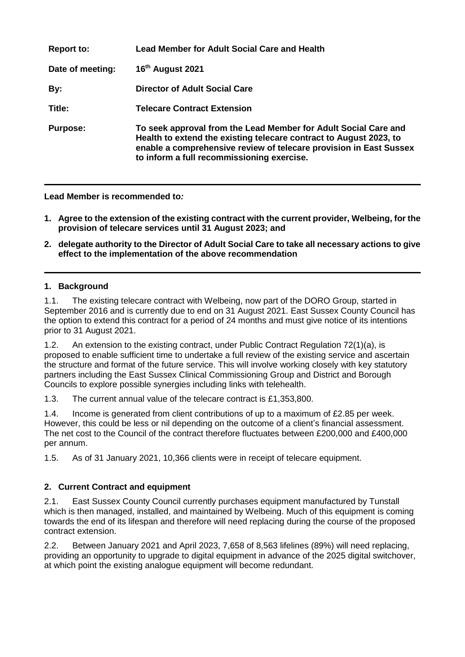| <b>Report to:</b> | <b>Lead Member for Adult Social Care and Health</b>                                                                                                                                                                                                       |
|-------------------|-----------------------------------------------------------------------------------------------------------------------------------------------------------------------------------------------------------------------------------------------------------|
| Date of meeting:  | 16 <sup>th</sup> August 2021                                                                                                                                                                                                                              |
| By:               | <b>Director of Adult Social Care</b>                                                                                                                                                                                                                      |
| Title:            | <b>Telecare Contract Extension</b>                                                                                                                                                                                                                        |
| <b>Purpose:</b>   | To seek approval from the Lead Member for Adult Social Care and<br>Health to extend the existing telecare contract to August 2023, to<br>enable a comprehensive review of telecare provision in East Sussex<br>to inform a full recommissioning exercise. |

**Lead Member is recommended to***:*

- **1. Agree to the extension of the existing contract with the current provider, Welbeing, for the provision of telecare services until 31 August 2023; and**
- **2. delegate authority to the Director of Adult Social Care to take all necessary actions to give effect to the implementation of the above recommendation**

#### **1. Background**

1.1. The existing telecare contract with Welbeing, now part of the DORO Group, started in September 2016 and is currently due to end on 31 August 2021. East Sussex County Council has the option to extend this contract for a period of 24 months and must give notice of its intentions prior to 31 August 2021.

1.2. An extension to the existing contract, under Public Contract Regulation 72(1)(a), is proposed to enable sufficient time to undertake a full review of the existing service and ascertain the structure and format of the future service. This will involve working closely with key statutory partners including the East Sussex Clinical Commissioning Group and District and Borough Councils to explore possible synergies including links with telehealth.

1.3. The current annual value of the telecare contract is £1,353,800.

1.4. Income is generated from client contributions of up to a maximum of £2.85 per week. However, this could be less or nil depending on the outcome of a client's financial assessment. The net cost to the Council of the contract therefore fluctuates between £200,000 and £400,000 per annum.

1.5. As of 31 January 2021, 10,366 clients were in receipt of telecare equipment.

# **2. Current Contract and equipment**

2.1. East Sussex County Council currently purchases equipment manufactured by Tunstall which is then managed, installed, and maintained by Welbeing. Much of this equipment is coming towards the end of its lifespan and therefore will need replacing during the course of the proposed contract extension.

2.2. Between January 2021 and April 2023, 7,658 of 8,563 lifelines (89%) will need replacing, providing an opportunity to upgrade to digital equipment in advance of the 2025 digital switchover, at which point the existing analogue equipment will become redundant.